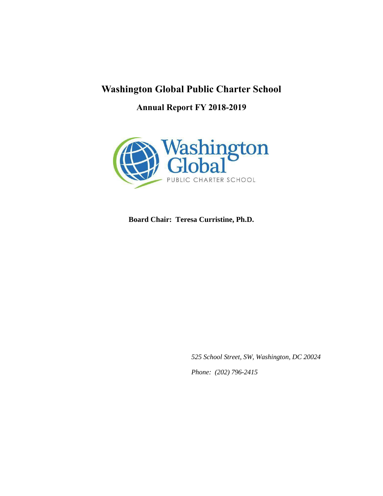# **Washington Global Public Charter School**

**Annual Report FY 2018-2019**



**Board Chair: Teresa Curristine, Ph.D.**

*525 School Street, SW, Washington, DC 20024 Phone: (202) 796-2415*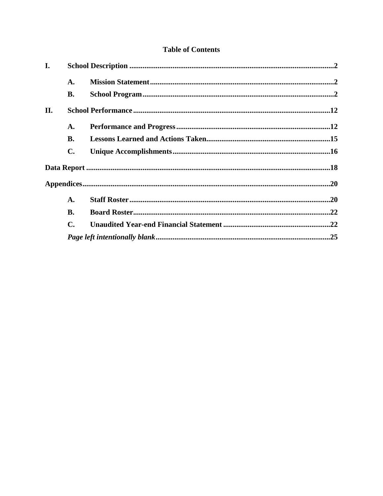### **Table of Contents**

| I.  |                |                     |  |
|-----|----------------|---------------------|--|
|     | A.             |                     |  |
|     | <b>B.</b>      |                     |  |
| II. |                |                     |  |
|     | A.             |                     |  |
|     | <b>B.</b>      |                     |  |
|     | C.             |                     |  |
|     |                |                     |  |
|     |                | $\bf Appendix 6.20$ |  |
|     | $\mathbf{A}$ . |                     |  |
|     | <b>B.</b>      |                     |  |
|     | C.             |                     |  |
|     |                |                     |  |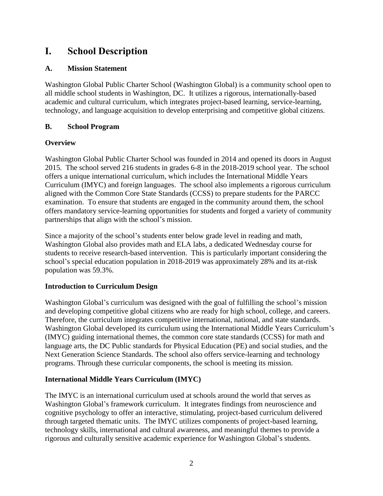# <span id="page-2-0"></span>**I. School Description**

### <span id="page-2-1"></span>**A. Mission Statement**

Washington Global Public Charter School (Washington Global) is a community school open to all middle school students in Washington, DC. It utilizes a rigorous, internationally-based academic and cultural curriculum, which integrates project-based learning, service-learning, technology, and language acquisition to develop enterprising and competitive global citizens.

### <span id="page-2-2"></span>**B. School Program**

### **Overview**

Washington Global Public Charter School was founded in 2014 and opened its doors in August 2015. The school served 216 students in grades 6-8 in the 2018-2019 school year. The school offers a unique international curriculum, which includes the International Middle Years Curriculum (IMYC) and foreign languages. The school also implements a rigorous curriculum aligned with the Common Core State Standards (CCSS) to prepare students for the PARCC examination. To ensure that students are engaged in the community around them, the school offers mandatory service-learning opportunities for students and forged a variety of community partnerships that align with the school's mission.

Since a majority of the school's students enter below grade level in reading and math, Washington Global also provides math and ELA labs, a dedicated Wednesday course for students to receive research-based intervention. This is particularly important considering the school's special education population in 2018-2019 was approximately 28% and its at-risk population was 59.3%.

### **Introduction to Curriculum Design**

Washington Global's curriculum was designed with the goal of fulfilling the school's mission and developing competitive global citizens who are ready for high school, college, and careers. Therefore, the curriculum integrates competitive international, national, and state standards. Washington Global developed its curriculum using the International Middle Years Curriculum's (IMYC) guiding international themes, the common core state standards (CCSS) for math and language arts, the DC Public standards for Physical Education (PE) and social studies, and the Next Generation Science Standards. The school also offers service-learning and technology programs. Through these curricular components, the school is meeting its mission.

### **International Middle Years Curriculum (IMYC)**

The IMYC is an international curriculum used at schools around the world that serves as Washington Global's framework curriculum. It integrates findings from neuroscience and cognitive psychology to offer an interactive, stimulating, project-based curriculum delivered through targeted thematic units. The IMYC utilizes components of project-based learning, technology skills, international and cultural awareness, and meaningful themes to provide a rigorous and culturally sensitive academic experience for Washington Global's students.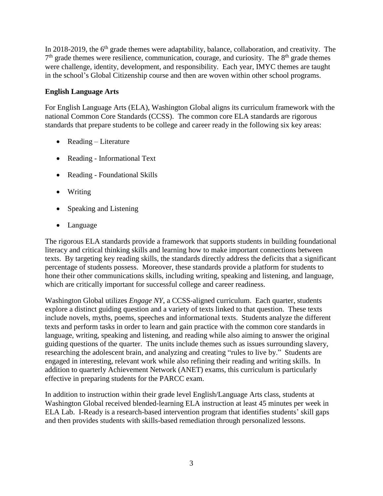In 2018-2019, the  $6<sup>th</sup>$  grade themes were adaptability, balance, collaboration, and creativity. The  $7<sup>th</sup>$  grade themes were resilience, communication, courage, and curiosity. The  $8<sup>th</sup>$  grade themes were challenge, identity, development, and responsibility. Each year, IMYC themes are taught in the school's Global Citizenship course and then are woven within other school programs.

### **English Language Arts**

For English Language Arts (ELA), Washington Global aligns its curriculum framework with the national Common Core Standards (CCSS). The common core ELA standards are rigorous standards that prepare students to be college and career ready in the following six key areas:

- Reading Literature
- Reading Informational Text
- Reading Foundational Skills
- Writing
- Speaking and Listening
- Language

The rigorous ELA standards provide a framework that supports students in building foundational literacy and critical thinking skills and learning how to make important connections between texts. By targeting key reading skills, the standards directly address the deficits that a significant percentage of students possess. Moreover, these standards provide a platform for students to hone their other communications skills, including writing, speaking and listening, and language, which are critically important for successful college and career readiness.

Washington Global utilizes *Engage NY*, a CCSS-aligned curriculum. Each quarter, students explore a distinct guiding question and a variety of texts linked to that question. These texts include novels, myths, poems, speeches and informational texts. Students analyze the different texts and perform tasks in order to learn and gain practice with the common core standards in language, writing, speaking and listening, and reading while also aiming to answer the original guiding questions of the quarter. The units include themes such as issues surrounding slavery, researching the adolescent brain, and analyzing and creating "rules to live by." Students are engaged in interesting, relevant work while also refining their reading and writing skills. In addition to quarterly Achievement Network (ANET) exams, this curriculum is particularly effective in preparing students for the PARCC exam.

In addition to instruction within their grade level English/Language Arts class, students at Washington Global received blended-learning ELA instruction at least 45 minutes per week in ELA Lab. I-Ready is a research-based intervention program that identifies students' skill gaps and then provides students with skills-based remediation through personalized lessons.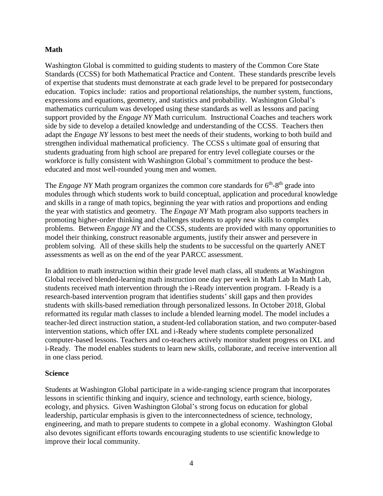### **Math**

Washington Global is committed to guiding students to mastery of the Common Core State Standards (CCSS) for both Mathematical Practice and Content. These standards prescribe levels of expertise that students must demonstrate at each grade level to be prepared for postsecondary education. Topics include: ratios and proportional relationships, the number system, functions, expressions and equations, geometry, and statistics and probability. Washington Global's mathematics curriculum was developed using these standards as well as lessons and pacing support provided by the *Engage NY* Math curriculum. Instructional Coaches and teachers work side by side to develop a detailed knowledge and understanding of the CCSS. Teachers then adapt the *Engage NY* lessons to best meet the needs of their students, working to both build and strengthen individual mathematical proficiency. The CCSS s ultimate goal of ensuring that students graduating from high school are prepared for entry level collegiate courses or the workforce is fully consistent with Washington Global's commitment to produce the besteducated and most well-rounded young men and women.

The *Engage NY* Math program organizes the common core standards for 6<sup>th</sup>-8<sup>th</sup> grade into modules through which students work to build conceptual, application and procedural knowledge and skills in a range of math topics, beginning the year with ratios and proportions and ending the year with statistics and geometry. The *Engage NY* Math program also supports teachers in promoting higher-order thinking and challenges students to apply new skills to complex problems. Between *Engage NY* and the CCSS, students are provided with many opportunities to model their thinking, construct reasonable arguments, justify their answer and persevere in problem solving. All of these skills help the students to be successful on the quarterly ANET assessments as well as on the end of the year PARCC assessment.

In addition to math instruction within their grade level math class, all students at Washington Global received blended-learning math instruction one day per week in Math Lab In Math Lab, students received math intervention through the i-Ready intervention program. I-Ready is a research-based intervention program that identifies students' skill gaps and then provides students with skills-based remediation through personalized lessons. In October 2018, Global reformatted its regular math classes to include a blended learning model. The model includes a teacher-led direct instruction station, a student-led collaboration station, and two computer-based intervention stations, which offer IXL and i-Ready where students complete personalized computer-based lessons. Teachers and co-teachers actively monitor student progress on IXL and i-Ready. The model enables students to learn new skills, collaborate, and receive intervention all in one class period.

### **Science**

Students at Washington Global participate in a wide-ranging science program that incorporates lessons in scientific thinking and inquiry, science and technology, earth science, biology, ecology, and physics. Given Washington Global's strong focus on education for global leadership, particular emphasis is given to the interconnectedness of science, technology, engineering, and math to prepare students to compete in a global economy. Washington Global also devotes significant efforts towards encouraging students to use scientific knowledge to improve their local community.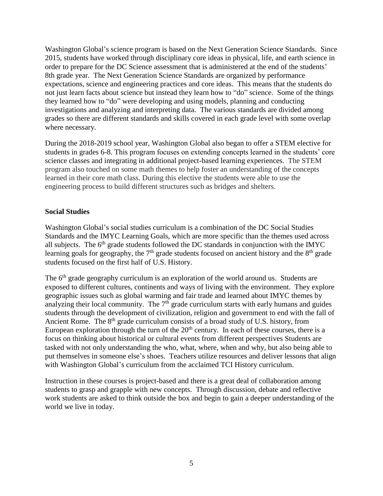Washington Global's science program is based on the Next Generation Science Standards. Since 2015, students have worked through disciplinary core ideas in physical, life, and earth science in order to prepare for the DC Science assessment that is administered at the end of the students' 8th grade year. The Next Generation Science Standards are organized by performance expectations, science and engineering practices and core ideas. This means that the students do not just learn facts about science but instead they learn how to "do" science. Some of the things they learned how to "do" were developing and using models, planning and conducting investigations and analyzing and interpreting data. The various standards are divided among grades so there are different standards and skills covered in each grade level with some overlap where necessary.

During the 2018-2019 school year, Washington Global also began to offer a STEM elective for students in grades 6-8. This program focuses on extending concepts learned in the students' core science classes and integrating in additional project-based learning experiences. The STEM program also touched on some math themes to help foster an understanding of the concepts learned in their core math class. During this elective the students were able to use the engineering process to build different structures such as bridges and shelters.

### **Social Studies**

Washington Global's social studies curriculum is a combination of the DC Social Studies Standards and the IMYC Learning Goals, which are more specific than the themes used across all subjects. The  $6<sup>th</sup>$  grade students followed the DC standards in conjunction with the IMYC learning goals for geography, the 7<sup>th</sup> grade students focused on ancient history and the 8<sup>th</sup> grade students focused on the first half of U.S. History.

The  $6<sup>th</sup>$  grade geography curriculum is an exploration of the world around us. Students are exposed to different cultures, continents and ways of living with the environment. They explore geographic issues such as global warming and fair trade and learned about IMYC themes by analyzing their local community. The  $7<sup>th</sup>$  grade curriculum starts with early humans and guides students through the development of civilization, religion and government to end with the fall of Ancient Rome. The 8<sup>th</sup> grade curriculum consists of a broad study of U.S. history, from European exploration through the turn of the  $20<sup>th</sup>$  century. In each of these courses, there is a focus on thinking about historical or cultural events from different perspectives Students are tasked with not only understanding the who, what, where, when and why, but also being able to put themselves in someone else's shoes. Teachers utilize resources and deliver lessons that align with Washington Global's curriculum from the acclaimed TCI History curriculum.

Instruction in these courses is project-based and there is a great deal of collaboration among students to grasp and grapple with new concepts. Through discussion, debate and reflective work students are asked to think outside the box and begin to gain a deeper understanding of the world we live in today.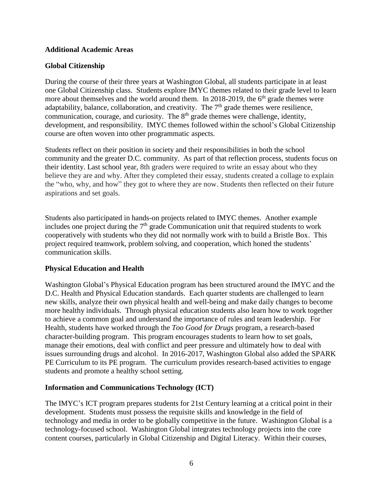### **Additional Academic Areas**

### **Global Citizenship**

During the course of their three years at Washington Global, all students participate in at least one Global Citizenship class. Students explore IMYC themes related to their grade level to learn more about themselves and the world around them. In 2018-2019, the  $6<sup>th</sup>$  grade themes were adaptability, balance, collaboration, and creativity. The  $7<sup>th</sup>$  grade themes were resilience, communication, courage, and curiosity. The  $8<sup>th</sup>$  grade themes were challenge, identity, development, and responsibility. IMYC themes followed within the school's Global Citizenship course are often woven into other programmatic aspects.

Students reflect on their position in society and their responsibilities in both the school community and the greater D.C. community. As part of that reflection process, students focus on their identity. Last school year, 8th graders were required to write an essay about who they believe they are and why. After they completed their essay, students created a collage to explain the "who, why, and how" they got to where they are now. Students then reflected on their future aspirations and set goals.

Students also participated in hands-on projects related to IMYC themes. Another example includes one project during the  $7<sup>th</sup>$  grade Communication unit that required students to work cooperatively with students who they did not normally work with to build a Bristle Box. This project required teamwork, problem solving, and cooperation, which honed the students' communication skills.

### **Physical Education and Health**

Washington Global's Physical Education program has been structured around the IMYC and the D.C. Health and Physical Education standards. Each quarter students are challenged to learn new skills, analyze their own physical health and well-being and make daily changes to become more healthy individuals. Through physical education students also learn how to work together to achieve a common goal and understand the importance of rules and team leadership. For Health, students have worked through the *Too Good for Drugs* program, a research-based character-building program. This program encourages students to learn how to set goals, manage their emotions, deal with conflict and peer pressure and ultimately how to deal with issues surrounding drugs and alcohol. In 2016-2017, Washington Global also added the SPARK PE Curriculum to its PE program. The curriculum provides research-based activities to engage students and promote a healthy school setting.

### **Information and Communications Technology (ICT)**

The IMYC's ICT program prepares students for 21st Century learning at a critical point in their development. Students must possess the requisite skills and knowledge in the field of technology and media in order to be globally competitive in the future. Washington Global is a technology-focused school. Washington Global integrates technology projects into the core content courses, particularly in Global Citizenship and Digital Literacy. Within their courses,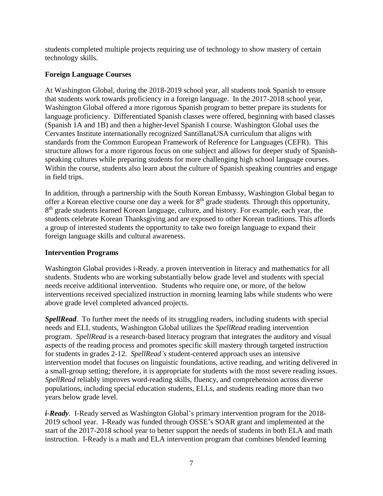students completed multiple projects requiring use of technology to show mastery of certain technology skills.

### **Foreign Language Courses**

At Washington Global, during the 2018-2019 school year, all students took Spanish to ensure that students work towards proficiency in a foreign language. In the 2017-2018 school year, Washington Global offered a more rigorous Spanish program to better prepare its students for language proficiency. Differentiated Spanish classes were offered, beginning with based classes (Spanish 1A and 1B) and then a higher-level Spanish I course. Washington Global uses the Cervantes Institute internationally recognized SantillanaUSA curriculum that aligns with standards from the Common European Framework of Reference for Languages (CEFR). This structure allows for a more rigorous focus on one subject and allows for deeper study of Spanishspeaking cultures while preparing students for more challenging high school language courses. Within the course, students also learn about the culture of Spanish speaking countries and engage in field trips.

In addition, through a partnership with the South Korean Embassy, Washington Global began to offer a Korean elective course one day a week for 8<sup>th</sup> grade students. Through this opportunity, 8<sup>th</sup> grade students learned Korean language, culture, and history. For example, each year, the students celebrate Korean Thanksgiving and are exposed to other Korean traditions. This affords a group of interested students the opportunity to take two foreign language to expand their foreign language skills and cultural awareness.

### **Intervention Programs**

Washington Global provides i-Ready. a proven intervention in literacy and mathematics for all students. Students who are working substantially below grade level and students with special needs receive additional intervention. Students who require one, or more, of the below interventions received specialized instruction in morning learning labs while students who were above grade level completed advanced projects.

**SpellRead.** To further meet the needs of its struggling readers, including students with special needs and ELL students, Washington Global utilizes the *SpellRead* reading intervention program. *SpellRead* is a research-based literacy program that integrates the auditory and visual aspects of the reading process and promotes specific skill mastery through targeted instruction for students in grades 2-12. *SpellRead's* student-centered approach uses an intensive intervention model that focuses on linguistic foundations, active reading, and writing delivered in a small-group setting; therefore, it is appropriate for students with the most severe reading issues. *SpellRead* reliably improves word-reading skills, fluency, and comprehension across diverse populations, including special education students, ELLs, and students reading more than two years below grade level.

*i-Ready*. I-Ready served as Washington Global's primary intervention program for the 2018- 2019 school year. I-Ready was funded through OSSE's SOAR grant and implemented at the start of the 2017-2018 school year to better support the needs of students in both ELA and math instruction. I-Ready is a math and ELA intervention program that combines blended learning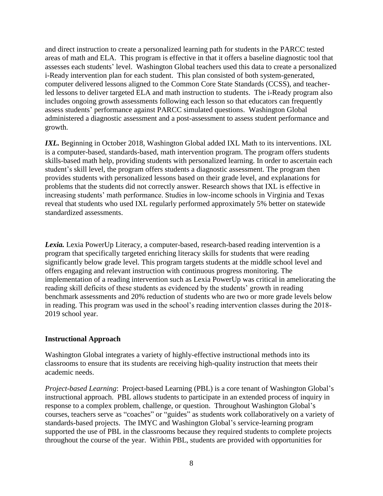and direct instruction to create a personalized learning path for students in the PARCC tested areas of math and ELA. This program is effective in that it offers a baseline diagnostic tool that assesses each students' level. Washington Global teachers used this data to create a personalized i-Ready intervention plan for each student. This plan consisted of both system-generated, computer delivered lessons aligned to the Common Core State Standards (CCSS), and teacherled lessons to deliver targeted ELA and math instruction to students. The i-Ready program also includes ongoing growth assessments following each lesson so that educators can frequently assess students' performance against PARCC simulated questions. Washington Global administered a diagnostic assessment and a post-assessment to assess student performance and growth.

*IXL.* Beginning in October 2018, Washington Global added IXL Math to its interventions. IXL is a computer-based, standards-based, math intervention program. The program offers students skills-based math help, providing students with personalized learning. In order to ascertain each student's skill level, the program offers students a diagnostic assessment. The program then provides students with personalized lessons based on their grade level, and explanations for problems that the students did not correctly answer. Research shows that IXL is effective in increasing students' math performance. Studies in low-income schools in Virginia and Texas reveal that students who used IXL regularly performed approximately 5% better on statewide standardized assessments.

*Lexia.* Lexia PowerUp Literacy, a computer-based, research-based reading intervention is a program that specifically targeted enriching literacy skills for students that were reading significantly below grade level. This program targets students at the middle school level and offers engaging and relevant instruction with continuous progress monitoring. The implementation of a reading intervention such as Lexia PowerUp was critical in ameliorating the reading skill deficits of these students as evidenced by the students' growth in reading benchmark assessments and 20% reduction of students who are two or more grade levels below in reading. This program was used in the school's reading intervention classes during the 2018- 2019 school year.

### **Instructional Approach**

Washington Global integrates a variety of highly-effective instructional methods into its classrooms to ensure that its students are receiving high-quality instruction that meets their academic needs.

*Project-based Learning*: Project-based Learning (PBL) is a core tenant of Washington Global's instructional approach. PBL allows students to participate in an extended process of inquiry in response to a complex problem, challenge, or question. Throughout Washington Global's courses, teachers serve as "coaches" or "guides" as students work collaboratively on a variety of standards-based projects. The IMYC and Washington Global's service-learning program supported the use of PBL in the classrooms because they required students to complete projects throughout the course of the year. Within PBL, students are provided with opportunities for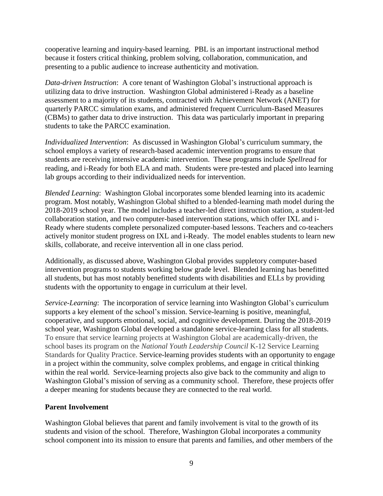cooperative learning and inquiry-based learning. PBL is an important instructional method because it fosters critical thinking, problem solving, collaboration, communication, and presenting to a public audience to increase authenticity and motivation.

*Data-driven Instruction*: A core tenant of Washington Global's instructional approach is utilizing data to drive instruction. Washington Global administered i-Ready as a baseline assessment to a majority of its students, contracted with Achievement Network (ANET) for quarterly PARCC simulation exams, and administered frequent Curriculum-Based Measures (CBMs) to gather data to drive instruction. This data was particularly important in preparing students to take the PARCC examination.

*Individualized Intervention*: As discussed in Washington Global's curriculum summary, the school employs a variety of research-based academic intervention programs to ensure that students are receiving intensive academic intervention. These programs include *Spellread* for reading, and i-Ready for both ELA and math. Students were pre-tested and placed into learning lab groups according to their individualized needs for intervention.

*Blended Learning*: Washington Global incorporates some blended learning into its academic program. Most notably, Washington Global shifted to a blended-learning math model during the 2018-2019 school year. The model includes a teacher-led direct instruction station, a student-led collaboration station, and two computer-based intervention stations, which offer IXL and i-Ready where students complete personalized computer-based lessons. Teachers and co-teachers actively monitor student progress on IXL and i-Ready. The model enables students to learn new skills, collaborate, and receive intervention all in one class period.

Additionally, as discussed above, Washington Global provides suppletory computer-based intervention programs to students working below grade level. Blended learning has benefitted all students, but has most notably benefitted students with disabilities and ELLs by providing students with the opportunity to engage in curriculum at their level.

*Service-Learning*: The incorporation of service learning into Washington Global's curriculum supports a key element of the school's mission. Service-learning is positive, meaningful, cooperative, and supports emotional, social, and cognitive development. During the 2018-2019 school year, Washington Global developed a standalone service-learning class for all students. To ensure that service learning projects at Washington Global are academically-driven, the school bases its program on the *National Youth Leadership Council* K-12 Service Learning Standards for Quality Practice. Service-learning provides students with an opportunity to engage in a project within the community, solve complex problems, and engage in critical thinking within the real world. Service-learning projects also give back to the community and align to Washington Global's mission of serving as a community school. Therefore, these projects offer a deeper meaning for students because they are connected to the real world.

### **Parent Involvement**

Washington Global believes that parent and family involvement is vital to the growth of its students and vision of the school. Therefore, Washington Global incorporates a community school component into its mission to ensure that parents and families, and other members of the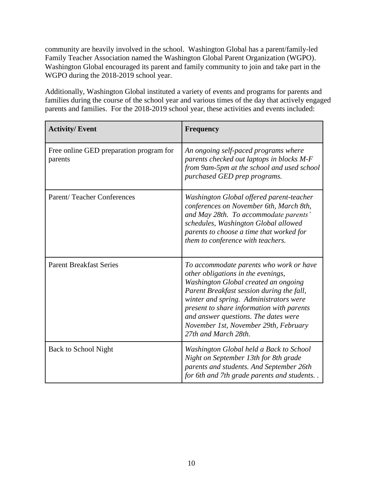community are heavily involved in the school. Washington Global has a parent/family-led Family Teacher Association named the Washington Global Parent Organization (WGPO). Washington Global encouraged its parent and family community to join and take part in the WGPO during the 2018-2019 school year.

Additionally, Washington Global instituted a variety of events and programs for parents and families during the course of the school year and various times of the day that actively engaged parents and families. For the 2018-2019 school year, these activities and events included:

| <b>Activity/Event</b>                              | <b>Frequency</b>                                                                                                                                                                                                                                                                                                                                                   |
|----------------------------------------------------|--------------------------------------------------------------------------------------------------------------------------------------------------------------------------------------------------------------------------------------------------------------------------------------------------------------------------------------------------------------------|
| Free online GED preparation program for<br>parents | An ongoing self-paced programs where<br>parents checked out laptops in blocks M-F<br>from 9am-5pm at the school and used school<br>purchased GED prep programs.                                                                                                                                                                                                    |
| Parent/Teacher Conferences                         | Washington Global offered parent-teacher<br>conferences on November 6th, March 8th,<br>and May 28th. To accommodate parents'<br>schedules, Washington Global allowed<br>parents to choose a time that worked for<br>them to conference with teachers.                                                                                                              |
| <b>Parent Breakfast Series</b>                     | To accommodate parents who work or have<br>other obligations in the evenings,<br>Washington Global created an ongoing<br>Parent Breakfast session during the fall,<br>winter and spring. Administrators were<br>present to share information with parents<br>and answer questions. The dates were<br>November 1st, November 29th, February<br>27th and March 28th. |
| Back to School Night                               | Washington Global held a Back to School<br>Night on September 13th for 8th grade<br>parents and students. And September 26th<br>for 6th and 7th grade parents and students                                                                                                                                                                                         |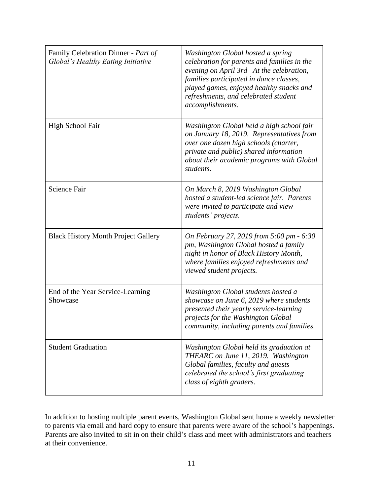| Family Celebration Dinner - Part of<br>Global's Healthy Eating Initiative | Washington Global hosted a spring<br>celebration for parents and families in the<br>evening on April 3rd At the celebration,<br>families participated in dance classes,<br>played games, enjoyed healthy snacks and<br>refreshments, and celebrated student<br>accomplishments. |
|---------------------------------------------------------------------------|---------------------------------------------------------------------------------------------------------------------------------------------------------------------------------------------------------------------------------------------------------------------------------|
| High School Fair                                                          | Washington Global held a high school fair<br>on January 18, 2019. Representatives from<br>over one dozen high schools (charter,<br>private and public) shared information<br>about their academic programs with Global<br>students.                                             |
| Science Fair                                                              | On March 8, 2019 Washington Global<br>hosted a student-led science fair. Parents<br>were invited to participate and view<br>students' projects.                                                                                                                                 |
| <b>Black History Month Project Gallery</b>                                | On February 27, 2019 from 5:00 pm - 6:30<br>pm, Washington Global hosted a family<br>night in honor of Black History Month,<br>where families enjoyed refreshments and<br>viewed student projects.                                                                              |
| End of the Year Service-Learning<br>Showcase                              | Washington Global students hosted a<br>showcase on June 6, 2019 where students<br>presented their yearly service-learning<br>projects for the Washington Global<br>community, including parents and families.                                                                   |
| <b>Student Graduation</b>                                                 | Washington Global held its graduation at<br>THEARC on June 11, 2019. Washington<br>Global families, faculty and guests<br>celebrated the school's first graduating<br>class of eighth graders.                                                                                  |

In addition to hosting multiple parent events, Washington Global sent home a weekly newsletter to parents via email and hard copy to ensure that parents were aware of the school's happenings. Parents are also invited to sit in on their child's class and meet with administrators and teachers at their convenience.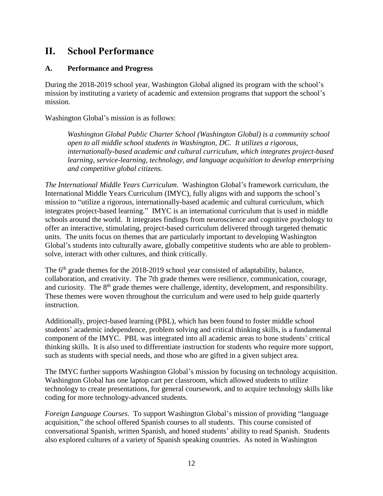# <span id="page-12-0"></span>**II. School Performance**

### <span id="page-12-1"></span>**A. Performance and Progress**

During the 2018-2019 school year, Washington Global aligned its program with the school's mission by instituting a variety of academic and extension programs that support the school's mission.

Washington Global's mission is as follows:

*Washington Global Public Charter School (Washington Global) is a community school open to all middle school students in Washington, DC. It utilizes a rigorous, internationally-based academic and cultural curriculum, which integrates project-based learning, service-learning, technology, and language acquisition to develop enterprising and competitive global citizens.*

*The International Middle Years Curriculum*. Washington Global's framework curriculum, the International Middle Years Curriculum (IMYC), fully aligns with and supports the school's mission to "utilize a rigorous, internationally-based academic and cultural curriculum, which integrates project-based learning." IMYC is an international curriculum that is used in middle schools around the world. It integrates findings from neuroscience and cognitive psychology to offer an interactive, stimulating, project-based curriculum delivered through targeted thematic units. The units focus on themes that are particularly important to developing Washington Global's students into culturally aware, globally competitive students who are able to problemsolve, interact with other cultures, and think critically.

The  $6<sup>th</sup>$  grade themes for the 2018-2019 school year consisted of adaptability, balance, collaboration, and creativity. The 7th grade themes were resilience, communication, courage, and curiosity. The 8<sup>th</sup> grade themes were challenge, identity, development, and responsibility. These themes were woven throughout the curriculum and were used to help guide quarterly instruction.

Additionally, project-based learning (PBL), which has been found to foster middle school students' academic independence, problem solving and critical thinking skills, is a fundamental component of the IMYC. PBL was integrated into all academic areas to hone students' critical thinking skills. It is also used to differentiate instruction for students who require more support, such as students with special needs, and those who are gifted in a given subject area.

The IMYC further supports Washington Global's mission by focusing on technology acquisition. Washington Global has one laptop cart per classroom, which allowed students to utilize technology to create presentations, for general coursework, and to acquire technology skills like coding for more technology-advanced students.

*Foreign Language Courses*. To support Washington Global's mission of providing "language acquisition," the school offered Spanish courses to all students. This course consisted of conversational Spanish, written Spanish, and honed students' ability to read Spanish. Students also explored cultures of a variety of Spanish speaking countries. As noted in Washington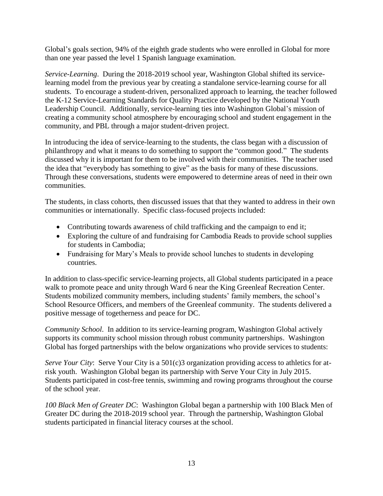Global's goals section, 94% of the eighth grade students who were enrolled in Global for more than one year passed the level 1 Spanish language examination.

*Service-Learning*. During the 2018-2019 school year, Washington Global shifted its servicelearning model from the previous year by creating a standalone service-learning course for all students. To encourage a student-driven, personalized approach to learning, the teacher followed the K-12 Service-Learning Standards for Quality Practice developed by the National Youth Leadership Council. Additionally, service-learning ties into Washington Global's mission of creating a community school atmosphere by encouraging school and student engagement in the community, and PBL through a major student-driven project.

In introducing the idea of service-learning to the students, the class began with a discussion of philanthropy and what it means to do something to support the "common good." The students discussed why it is important for them to be involved with their communities. The teacher used the idea that "everybody has something to give" as the basis for many of these discussions. Through these conversations, students were empowered to determine areas of need in their own communities.

The students, in class cohorts, then discussed issues that that they wanted to address in their own communities or internationally. Specific class-focused projects included:

- Contributing towards awareness of child trafficking and the campaign to end it;
- Exploring the culture of and fundraising for Cambodia Reads to provide school supplies for students in Cambodia;
- Fundraising for Mary's Meals to provide school lunches to students in developing countries.

In addition to class-specific service-learning projects, all Global students participated in a peace walk to promote peace and unity through Ward 6 near the King Greenleaf Recreation Center. Students mobilized community members, including students' family members, the school's School Resource Officers, and members of the Greenleaf community. The students delivered a positive message of togetherness and peace for DC.

*Community School*. In addition to its service-learning program, Washington Global actively supports its community school mission through robust community partnerships. Washington Global has forged partnerships with the below organizations who provide services to students:

*Serve Your City*: Serve Your City is a 501(c)3 organization providing access to athletics for atrisk youth. Washington Global began its partnership with Serve Your City in July 2015. Students participated in cost-free tennis, swimming and rowing programs throughout the course of the school year.

*100 Black Men of Greater DC*: Washington Global began a partnership with 100 Black Men of Greater DC during the 2018-2019 school year. Through the partnership, Washington Global students participated in financial literacy courses at the school.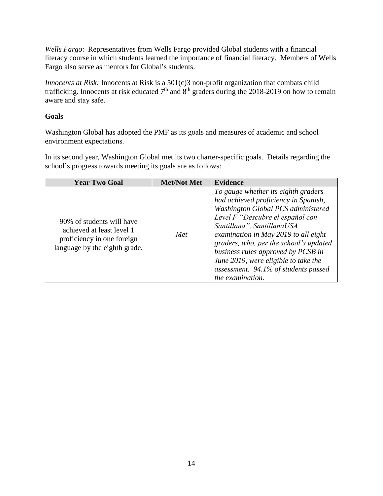*Wells Fargo*: Representatives from Wells Fargo provided Global students with a financial literacy course in which students learned the importance of financial literacy. Members of Wells Fargo also serve as mentors for Global's students.

*Innocents at Risk:* Innocents at Risk is a 501(c)3 non-profit organization that combats child trafficking. Innocents at risk educated  $7<sup>th</sup>$  and  $8<sup>th</sup>$  graders during the 2018-2019 on how to remain aware and stay safe.

### **Goals**

Washington Global has adopted the PMF as its goals and measures of academic and school environment expectations.

In its second year, Washington Global met its two charter-specific goals. Details regarding the school's progress towards meeting its goals are as follows:

| <b>Year Two Goal</b>                                                                                                  | <b>Met/Not Met</b> | <b>Evidence</b>                                                                                                                                                                                                                                                                                                                                                                                                 |
|-----------------------------------------------------------------------------------------------------------------------|--------------------|-----------------------------------------------------------------------------------------------------------------------------------------------------------------------------------------------------------------------------------------------------------------------------------------------------------------------------------------------------------------------------------------------------------------|
| 90% of students will have<br>achieved at least level 1<br>proficiency in one foreign<br>language by the eighth grade. | Met                | To gauge whether its eighth graders<br>had achieved proficiency in Spanish,<br>Washington Global PCS administered<br>Level F "Descubre el español con<br>Santillana", SantillanaUSA<br>examination in May 2019 to all eight<br>graders, who, per the school's updated<br>business rules approved by PCSB in<br>June 2019, were eligible to take the<br>assessment. 94.1% of students passed<br>the examination. |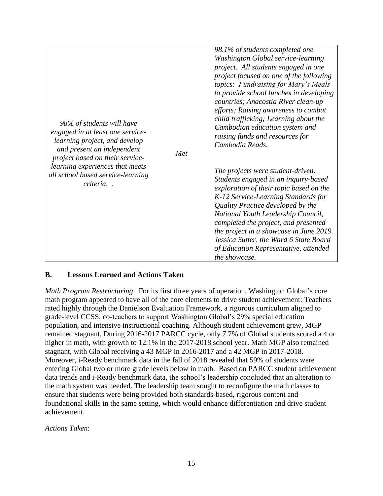| 98% of students will have<br>engaged in at least one service-<br>learning project, and develop<br>and present an independent<br>project based on their service-<br>learning experiences that meets<br>all school based service-learning<br><i>criteria</i> . | Met | 98.1% of students completed one<br>Washington Global service-learning<br>project. All students engaged in one<br>project focused on one of the following<br>topics: Fundraising for Mary's Meals<br>to provide school lunches in developing<br>countries; Anacostia River clean-up<br>efforts; Raising awareness to combat<br>child trafficking; Learning about the<br>Cambodian education system and<br>raising funds and resources for<br>Cambodia Reads.<br>The projects were student-driven.<br>Students engaged in an inquiry-based<br>exploration of their topic based on the<br>K-12 Service-Learning Standards for<br>Quality Practice developed by the<br>National Youth Leadership Council,<br>completed the project, and presented<br>the project in a showcase in June 2019.<br>Jessica Sutter, the Ward 6 State Board<br>of Education Representative, attended |
|--------------------------------------------------------------------------------------------------------------------------------------------------------------------------------------------------------------------------------------------------------------|-----|-----------------------------------------------------------------------------------------------------------------------------------------------------------------------------------------------------------------------------------------------------------------------------------------------------------------------------------------------------------------------------------------------------------------------------------------------------------------------------------------------------------------------------------------------------------------------------------------------------------------------------------------------------------------------------------------------------------------------------------------------------------------------------------------------------------------------------------------------------------------------------|
|                                                                                                                                                                                                                                                              |     | the showcase.                                                                                                                                                                                                                                                                                                                                                                                                                                                                                                                                                                                                                                                                                                                                                                                                                                                               |

### <span id="page-15-0"></span>**B. Lessons Learned and Actions Taken**

*Math Program Restructuring*. For its first three years of operation, Washington Global's core math program appeared to have all of the core elements to drive student achievement: Teachers rated highly through the Danielson Evaluation Framework, a rigorous curriculum aligned to grade-level CCSS, co-teachers to support Washington Global's 29% special education population, and intensive instructional coaching. Although student achievement grew, MGP remained stagnant. During 2016-2017 PARCC cycle, only 7.7% of Global students scored a 4 or higher in math, with growth to 12.1% in the 2017-2018 school year. Math MGP also remained stagnant, with Global receiving a 43 MGP in 2016-2017 and a 42 MGP in 2017-2018. Moreover, i-Ready benchmark data in the fall of 2018 revealed that 59% of students were entering Global two or more grade levels below in math. Based on PARCC student achievement data trends and i-Ready benchmark data, the school's leadership concluded that an alteration to the math system was needed. The leadership team sought to reconfigure the math classes to ensure that students were being provided both standards-based, rigorous content and foundational skills in the same setting, which would enhance differentiation and drive student achievement.

*Actions Taken*: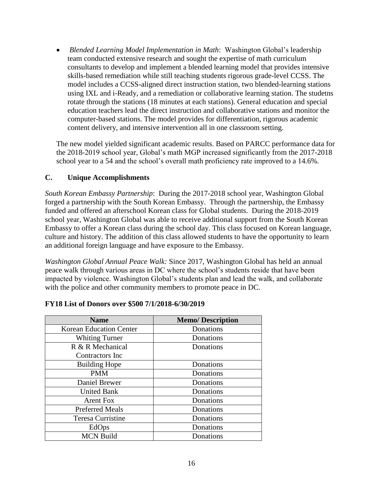*Blended Learning Model Implementation in Math*: Washington Global's leadership team conducted extensive research and sought the expertise of math curriculum consultants to develop and implement a blended learning model that provides intensive skills-based remediation while still teaching students rigorous grade-level CCSS. The model includes a CCSS-aligned direct instruction station, two blended-learning stations using IXL and i-Ready, and a remediation or collaborative learning station. The studetns rotate through the stations (18 minutes at each stations). General education and special education teachers lead the direct instruction and collaborative stations and monitor the computer-based stations. The model provides for differentiation, rigorous academic content delivery, and intensive intervention all in one classroom setting.

The new model yielded significant academic results. Based on PARCC performance data for the 2018-2019 school year, Global's math MGP increased significantly from the 2017-2018 school year to a 54 and the school's overall math proficiency rate improved to a 14.6%.

### <span id="page-16-0"></span>**C. Unique Accomplishments**

*South Korean Embassy Partnership*: During the 2017-2018 school year, Washington Global forged a partnership with the South Korean Embassy. Through the partnership, the Embassy funded and offered an afterschool Korean class for Global students. During the 2018-2019 school year, Washington Global was able to receive additional support from the South Korean Embassy to offer a Korean class during the school day. This class focused on Korean language, culture and history. The addition of this class allowed students to have the opportunity to learn an additional foreign language and have exposure to the Embassy.

*Washington Global Annual Peace Walk:* Since 2017, Washington Global has held an annual peace walk through various areas in DC where the school's students reside that have been impacted by violence. Washington Global's students plan and lead the walk, and collaborate with the police and other community members to promote peace in DC.

| <b>Name</b>                    | <b>Memo/Description</b> |
|--------------------------------|-------------------------|
| <b>Korean Education Center</b> | Donations               |
| <b>Whiting Turner</b>          | Donations               |
| R & R Mechanical               | Donations               |
| Contractors Inc                |                         |
| <b>Building Hope</b>           | Donations               |
| <b>PMM</b>                     | Donations               |
| Daniel Brewer                  | Donations               |
| <b>United Bank</b>             | Donations               |
| <b>Arent Fox</b>               | Donations               |
| <b>Preferred Meals</b>         | Donations               |
| Teresa Curristine              | Donations               |
| EdOps                          | Donations               |
| <b>MCN Build</b>               | Donations               |

### **FY18 List of Donors over \$500 7/1/2018-6/30/2019**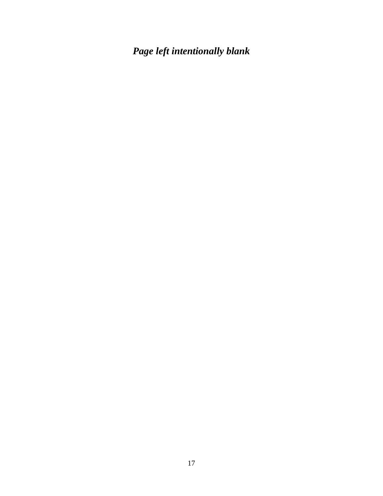*Page left intentionally blank*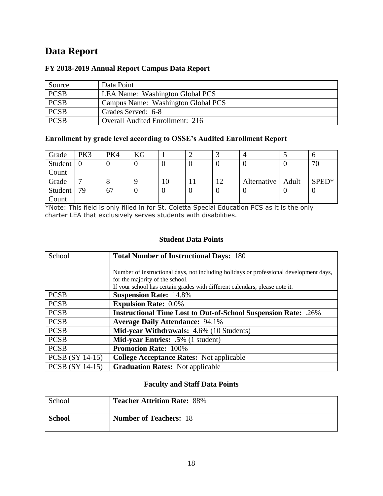# <span id="page-18-0"></span>**Data Report**

### **FY 2018-2019 Annual Report Campus Data Report**

| Source      | Data Point                             |
|-------------|----------------------------------------|
| <b>PCSB</b> | LEA Name: Washington Global PCS        |
| <b>PCSB</b> | Campus Name: Washington Global PCS     |
| <b>PCSB</b> | Grades Served: 6-8                     |
| <b>PCSB</b> | <b>Overall Audited Enrollment: 216</b> |

### **Enrollment by grade level according to OSSE's Audited Enrollment Report**

| Grade   | PK3 | PK4 | KG |    |    |             |       |         |
|---------|-----|-----|----|----|----|-------------|-------|---------|
| Student |     |     |    |    | U  |             |       | 70<br>U |
| Count   |     |     |    |    |    |             |       |         |
| Grade   |     |     |    | 10 | 12 | Alternative | Adult | SPED*   |
|         |     |     |    |    |    |             |       |         |
| Student | 79  | 67  |    |    | υ  |             |       |         |

\*Note: This field is only filled in for St. Coletta Special Education PCS as it is the only charter LEA that exclusively serves students with disabilities.

### **Student Data Points**

| School                 | <b>Total Number of Instructional Days: 180</b>                                         |
|------------------------|----------------------------------------------------------------------------------------|
|                        | Number of instructional days, not including holidays or professional development days, |
|                        | for the majority of the school.                                                        |
|                        | If your school has certain grades with different calendars, please note it.            |
| <b>PCSB</b>            | <b>Suspension Rate: 14.8%</b>                                                          |
| <b>PCSB</b>            | <b>Expulsion Rate: 0.0%</b>                                                            |
| <b>PCSB</b>            | <b>Instructional Time Lost to Out-of-School Suspension Rate: .26%</b>                  |
| <b>PCSB</b>            | <b>Average Daily Attendance: 94.1%</b>                                                 |
| <b>PCSB</b>            | Mid-year Withdrawals: 4.6% (10 Students)                                               |
| <b>PCSB</b>            | <b>Mid-year Entries: .5%</b> (1 student)                                               |
| <b>PCSB</b>            | <b>Promotion Rate: 100%</b>                                                            |
| <b>PCSB</b> (SY 14-15) | <b>College Acceptance Rates:</b> Not applicable                                        |
| <b>PCSB</b> (SY 14-15) | <b>Graduation Rates:</b> Not applicable                                                |

### **Faculty and Staff Data Points**

| School        | <b>Teacher Attrition Rate: 88%</b> |
|---------------|------------------------------------|
| <b>School</b> | <b>Number of Teachers: 18</b>      |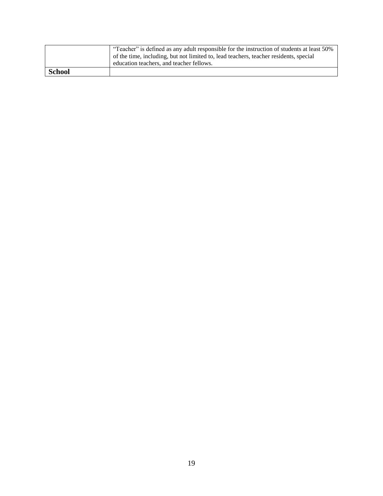| "Teacher" is defined as any adult responsible for the instruction of students at least 50% |                                                                                       |
|--------------------------------------------------------------------------------------------|---------------------------------------------------------------------------------------|
|                                                                                            | of the time, including, but not limited to, lead teachers, teacher residents, special |
|                                                                                            | education teachers, and teacher fellows.                                              |
| <b>School</b>                                                                              |                                                                                       |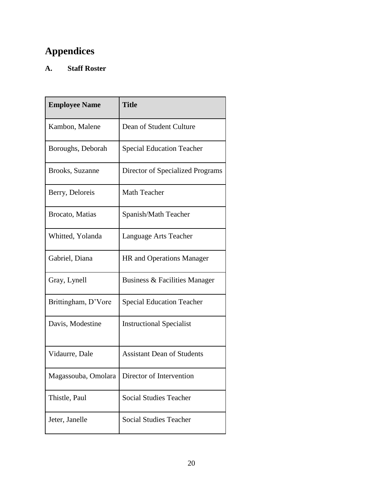# <span id="page-20-0"></span>**Appendices**

# <span id="page-20-1"></span>**A. Staff Roster**

| <b>Employee Name</b> | <b>Title</b>                      |
|----------------------|-----------------------------------|
| Kambon, Malene       | Dean of Student Culture           |
| Boroughs, Deborah    | <b>Special Education Teacher</b>  |
| Brooks, Suzanne      | Director of Specialized Programs  |
| Berry, Deloreis      | <b>Math Teacher</b>               |
| Brocato, Matias      | Spanish/Math Teacher              |
| Whitted, Yolanda     | Language Arts Teacher             |
| Gabriel, Diana       | HR and Operations Manager         |
| Gray, Lynell         | Business & Facilities Manager     |
| Brittingham, D'Vore  | <b>Special Education Teacher</b>  |
| Davis, Modestine     | <b>Instructional Specialist</b>   |
| Vidaurre, Dale       | <b>Assistant Dean of Students</b> |
| Magassouba, Omolara  | Director of Intervention          |
| Thistle, Paul        | <b>Social Studies Teacher</b>     |
| Jeter, Janelle       | <b>Social Studies Teacher</b>     |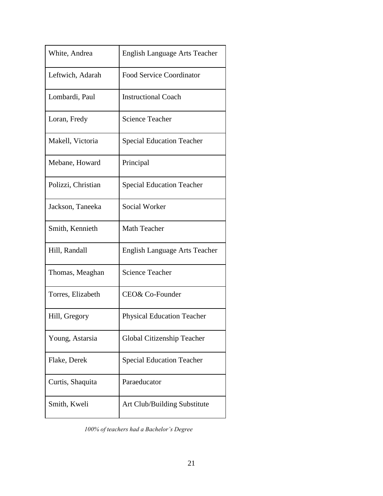| White, Andrea      | <b>English Language Arts Teacher</b> |
|--------------------|--------------------------------------|
| Leftwich, Adarah   | <b>Food Service Coordinator</b>      |
| Lombardi, Paul     | <b>Instructional Coach</b>           |
| Loran, Fredy       | <b>Science Teacher</b>               |
| Makell, Victoria   | <b>Special Education Teacher</b>     |
| Mebane, Howard     | Principal                            |
| Polizzi, Christian | <b>Special Education Teacher</b>     |
| Jackson, Taneeka   | Social Worker                        |
| Smith, Kennieth    | <b>Math Teacher</b>                  |
| Hill, Randall      | English Language Arts Teacher        |
| Thomas, Meaghan    | <b>Science Teacher</b>               |
| Torres, Elizabeth  | CEO& Co-Founder                      |
| Hill, Gregory      | <b>Physical Education Teacher</b>    |
| Young, Astarsia    | Global Citizenship Teacher           |
| Flake, Derek       | <b>Special Education Teacher</b>     |
| Curtis, Shaquita   | Paraeducator                         |
| Smith, Kweli       | Art Club/Building Substitute         |

*100% of teachers had a Bachelor's Degree*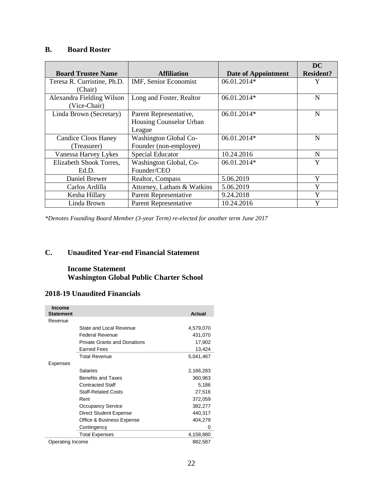### <span id="page-22-0"></span>**B. Board Roster**

|                             |                              |                     | <b>DC</b>        |
|-----------------------------|------------------------------|---------------------|------------------|
| <b>Board Trustee Name</b>   | <b>Affiliation</b>           | Date of Appointment | <b>Resident?</b> |
| Teresa R. Curristine, Ph.D. | IMF, Senior Economist        | 06.01.2014*         | Y                |
| (Chair)                     |                              |                     |                  |
| Alexandra Fielding Wilson   | Long and Foster, Realtor     | 06.01.2014*         | N                |
| (Vice-Chair)                |                              |                     |                  |
| Linda Brown (Secretary)     | Parent Representative,       | 06.01.2014*         | N                |
|                             | Housing Counselor Urban      |                     |                  |
|                             | League                       |                     |                  |
| <b>Candice Cloos Haney</b>  | <b>Washington Global Co-</b> | 06.01.2014*         | N                |
| (Treasurer)                 | Founder (non-employee)       |                     |                  |
| Vanessa Harvey Lykes        | <b>Special Educator</b>      | 10.24.2016          | N                |
| Elizabeth Shook Torres,     | Washington Global, Co-       | 06.01.2014*         | Y                |
| Ed.D.                       | Founder/CEO                  |                     |                  |
| Daniel Brewer               | Realtor, Compass             | 5.06.2019           | Y                |
| Carlos Ardilla              | Attorney, Latham & Watkins   | 5.06.2019           | Y                |
| Kesha Hillary               | Parent Representative        | 9.24.2018           | Y                |
| Linda Brown                 | Parent Representative        | 10.24.2016          | Y                |

*\*Denotes Founding Board Member (3-year Term) re-elected for another term June 2017*

### <span id="page-22-1"></span>**C. Unaudited Year-end Financial Statement**

### **Income Statement Washington Global Public Charter School**

### **2018-19 Unaudited Financials**

| <b>Income</b><br><b>Statement</b> |                                     | <b>Actual</b> |
|-----------------------------------|-------------------------------------|---------------|
| Revenue                           |                                     |               |
|                                   | State and Local Revenue             | 4,579,070     |
|                                   | <b>Federal Revenue</b>              | 431,070       |
|                                   | <b>Private Grants and Donations</b> | 17,902        |
|                                   | Earned Fees                         | 13,424        |
|                                   | <b>Total Revenue</b>                | 5,041,467     |
| Expenses                          |                                     |               |
|                                   | <b>Salaries</b>                     | 2,166,283     |
|                                   | <b>Benefits and Taxes</b>           | 360,963       |
|                                   | <b>Contracted Staff</b>             | 5,186         |
|                                   | <b>Staff-Related Costs</b>          | 27,516        |
|                                   | Rent                                | 372,059       |
|                                   | <b>Occupancy Service</b>            | 382,277       |
|                                   | Direct Student Expense              | 440,317       |
|                                   | Office & Business Expense           | 404,279       |
|                                   | Contingency                         | 0             |
|                                   | <b>Total Expenses</b>               | 4,158,880     |
| Operating Income                  |                                     | 882,587       |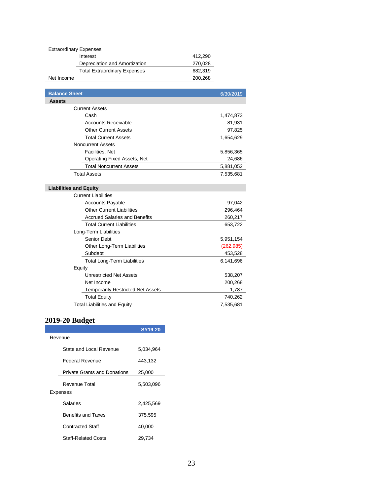| <b>Extraordinary Expenses</b> |                                     |         |
|-------------------------------|-------------------------------------|---------|
|                               | Interest                            | 412.290 |
|                               | Depreciation and Amortization       | 270.028 |
|                               | <b>Total Extraordinary Expenses</b> | 682,319 |
| Net Income                    |                                     | 200.268 |
|                               |                                     |         |

| <b>Balance Sheet</b>                     | 6/30/2019  |
|------------------------------------------|------------|
| <b>Assets</b>                            |            |
| <b>Current Assets</b>                    |            |
| Cash                                     | 1,474,873  |
| <b>Accounts Receivable</b>               | 81,931     |
| <b>Other Current Assets</b>              | 97,825     |
| <b>Total Current Assets</b>              | 1,654,629  |
| <b>Noncurrent Assets</b>                 |            |
| Facilities, Net                          | 5,856,365  |
| Operating Fixed Assets, Net              | 24,686     |
| <b>Total Noncurrent Assets</b>           | 5,881,052  |
| <b>Total Assets</b>                      | 7,535,681  |
| <b>Liabilities and Equity</b>            |            |
| <b>Current Liabilities</b>               |            |
| <b>Accounts Payable</b>                  | 97,042     |
| <b>Other Current Liabilities</b>         | 296,464    |
| <b>Accrued Salaries and Benefits</b>     | 260,217    |
| <b>Total Current Liabilities</b>         | 653,722    |
| Long-Term Liabilities                    |            |
| Senior Debt                              | 5,951,154  |
| Other Long-Term Liabilities              | (262, 985) |
| Subdebt                                  | 453,528    |
| <b>Total Long-Term Liabilities</b>       | 6,141,696  |
| Equity                                   |            |
| <b>Unrestricted Net Assets</b>           | 538,207    |
| Net Income                               | 200,268    |
| <b>Temporarily Restricted Net Assets</b> | 1,787      |
| <b>Total Equity</b>                      | 740,262    |
| <b>Total Liabilities and Equity</b>      | 7,535,681  |

## **2019-20 Budget**

|                                     | <b>SY19-20</b> |
|-------------------------------------|----------------|
| Revenue                             |                |
| State and Local Revenue             | 5,034,964      |
| Federal Revenue                     | 443,132        |
| <b>Private Grants and Donations</b> | 25,000         |
| Revenue Total<br>Expenses           | 5,503,096      |
| Salaries                            | 2,425,569      |
| <b>Benefits and Taxes</b>           | 375,595        |
| <b>Contracted Staff</b>             | 40,000         |
| <b>Staff-Related Costs</b>          | 29.734         |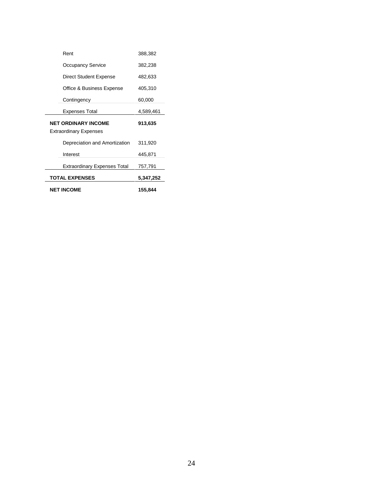| <b>NET INCOME</b>                                           | 155,844   |
|-------------------------------------------------------------|-----------|
| <b>TOTAL EXPENSES</b>                                       | 5,347,252 |
| <b>Extraordinary Expenses Total</b>                         | 757,791   |
| Interest                                                    | 445,871   |
| Depreciation and Amortization                               | 311,920   |
| <b>NET ORDINARY INCOME</b><br><b>Extraordinary Expenses</b> | 913,635   |
| Expenses Total                                              | 4,589,461 |
| Contingency                                                 | 60,000    |
| Office & Business Expense                                   | 405,310   |
| Direct Student Expense                                      | 482,633   |
| <b>Occupancy Service</b>                                    | 382,238   |
| Rent                                                        | 388,382   |